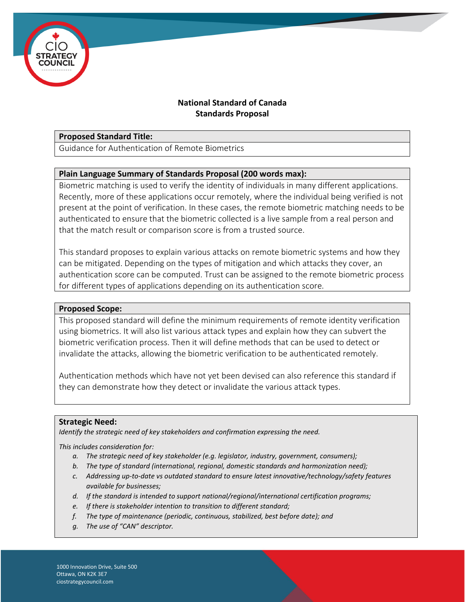

# **National Standard of Canada Standards Proposal**

### **Proposed Standard Title:**

Guidance for Authentication of Remote Biometrics

## **Plain Language Summary of Standards Proposal (200 words max):**

Biometric matching is used to verify the identity of individuals in many different applications. Recently, more of these applications occur remotely, where the individual being verified is not present at the point of verification. In these cases, the remote biometric matching needs to be authenticated to ensure that the biometric collected is a live sample from a real person and that the match result or comparison score is from a trusted source.

This standard proposes to explain various attacks on remote biometric systems and how they can be mitigated. Depending on the types of mitigation and which attacks they cover, an authentication score can be computed. Trust can be assigned to the remote biometric process for different types of applications depending on its authentication score.

### **Proposed Scope:**

This proposed standard will define the minimum requirements of remote identity verification using biometrics. It will also list various attack types and explain how they can subvert the biometric verification process. Then it will define methods that can be used to detect or invalidate the attacks, allowing the biometric verification to be authenticated remotely.

Authentication methods which have not yet been devised can also reference this standard if they can demonstrate how they detect or invalidate the various attack types.

### **Strategic Need:**

*Identify the strategic need of key stakeholders and confirmation expressing the need.*

*This includes consideration for:*

- *a. The strategic need of key stakeholder (e.g. legislator, industry, government, consumers);*
- *b. The type of standard (international, regional, domestic standards and harmonization need);*
- *c. Addressing up-to-date vs outdated standard to ensure latest innovative/technology/safety features available for businesses;*
- *d. If the standard is intended to support national/regional/international certification programs;*
- *e. If there is stakeholder intention to transition to different standard;*
- *f. The type of maintenance (periodic, continuous, stabilized, best before date); and*
- *g. The use of "CAN" descriptor.*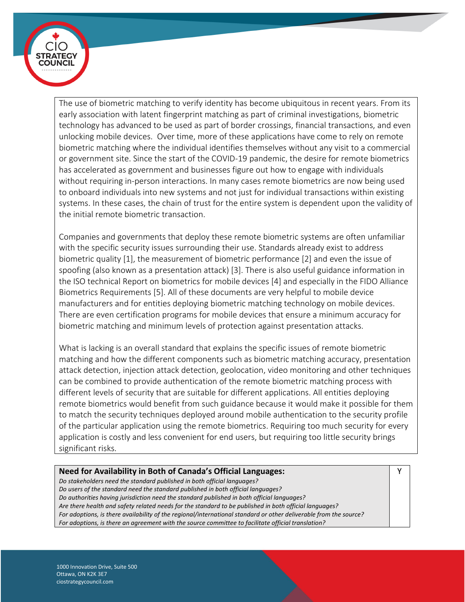

The use of biometric matching to verify identity has become ubiquitous in recent years. From its early association with latent fingerprint matching as part of criminal investigations, biometric technology has advanced to be used as part of border crossings, financial transactions, and even unlocking mobile devices. Over time, more of these applications have come to rely on remote biometric matching where the individual identifies themselves without any visit to a commercial or government site. Since the start of the COVID-19 pandemic, the desire for remote biometrics has accelerated as government and businesses figure out how to engage with individuals without requiring in-person interactions. In many cases remote biometrics are now being used to onboard individuals into new systems and not just for individual transactions within existing systems. In these cases, the chain of trust for the entire system is dependent upon the validity of the initial remote biometric transaction.

Companies and governments that deploy these remote biometric systems are often unfamiliar with the specific security issues surrounding their use. Standards already exist to address biometric quality [1], the measurement of biometric performance [2] and even the issue of spoofing (also known as a presentation attack) [3]. There is also useful guidance information in the ISO technical Report on biometrics for mobile devices [4] and especially in the FIDO Alliance Biometrics Requirements [5]. All of these documents are very helpful to mobile device manufacturers and for entities deploying biometric matching technology on mobile devices. There are even certification programs for mobile devices that ensure a minimum accuracy for biometric matching and minimum levels of protection against presentation attacks.

What is lacking is an overall standard that explains the specific issues of remote biometric matching and how the different components such as biometric matching accuracy, presentation attack detection, injection attack detection, geolocation, video monitoring and other techniques can be combined to provide authentication of the remote biometric matching process with different levels of security that are suitable for different applications. All entities deploying remote biometrics would benefit from such guidance because it would make it possible for them to match the security techniques deployed around mobile authentication to the security profile of the particular application using the remote biometrics. Requiring too much security for every application is costly and less convenient for end users, but requiring too little security brings significant risks.